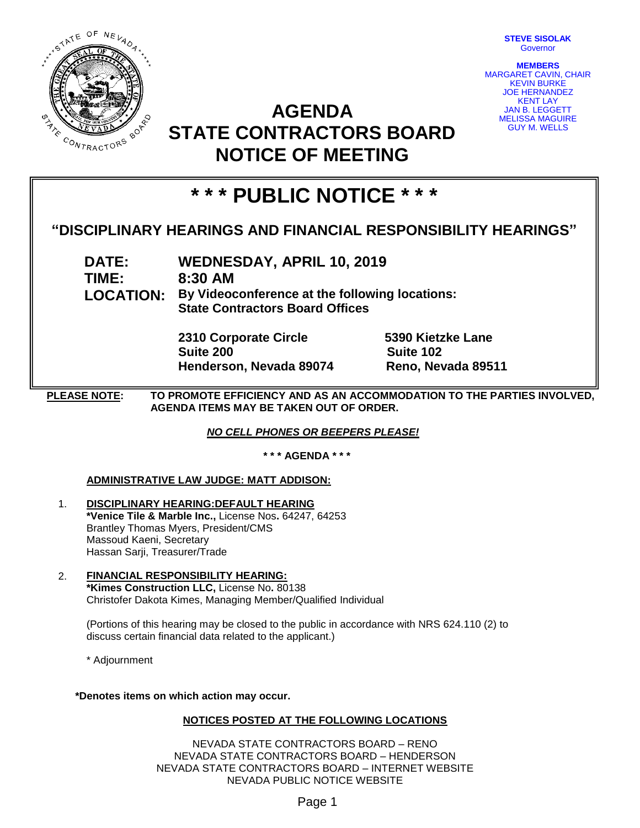

**STEVE SISOLAK** Governor

**MEMBERS** MARGARET CAVIN, CHAIR KEVIN BURKE JOE HERNANDEZ KENT LAY JAN B. LEGGETT MELISSA MAGUIRE GUY M. WELLS

## **AGENDA STATE CONTRACTORS BOARD NOTICE OF MEETING**

# **\* \* \* PUBLIC NOTICE \* \* \***

### **"DISCIPLINARY HEARINGS AND FINANCIAL RESPONSIBILITY HEARINGS"**

**DATE: WEDNESDAY, APRIL 10, 2019 TIME: 8:30 AM LOCATION: By Videoconference at the following locations: State Contractors Board Offices**

> **2310 Corporate Circle 5390 Kietzke Lane Suite 200 Suite 102 Henderson, Nevada 89074 Reno, Nevada 89511**

**PLEASE NOTE: TO PROMOTE EFFICIENCY AND AS AN ACCOMMODATION TO THE PARTIES INVOLVED, AGENDA ITEMS MAY BE TAKEN OUT OF ORDER.**

*NO CELL PHONES OR BEEPERS PLEASE!* 

**\* \* \* AGENDA \* \* \***

#### **ADMINISTRATIVE LAW JUDGE: MATT ADDISON:**

- 1. **DISCIPLINARY HEARING:DEFAULT HEARING \*Venice Tile & Marble Inc.,** License Nos**.** 64247, 64253 Brantley Thomas Myers, President/CMS Massoud Kaeni, Secretary Hassan Sarji, Treasurer/Trade
- 2. **FINANCIAL RESPONSIBILITY HEARING: \*Kimes Construction LLC,** License No**.** 80138 Christofer Dakota Kimes, Managing Member/Qualified Individual

(Portions of this hearing may be closed to the public in accordance with NRS 624.110 (2) to discuss certain financial data related to the applicant.)

\* Adjournment

**\*Denotes items on which action may occur.**

#### **NOTICES POSTED AT THE FOLLOWING LOCATIONS**

NEVADA STATE CONTRACTORS BOARD – RENO NEVADA STATE CONTRACTORS BOARD – HENDERSON NEVADA STATE CONTRACTORS BOARD – INTERNET WEBSITE NEVADA PUBLIC NOTICE WEBSITE